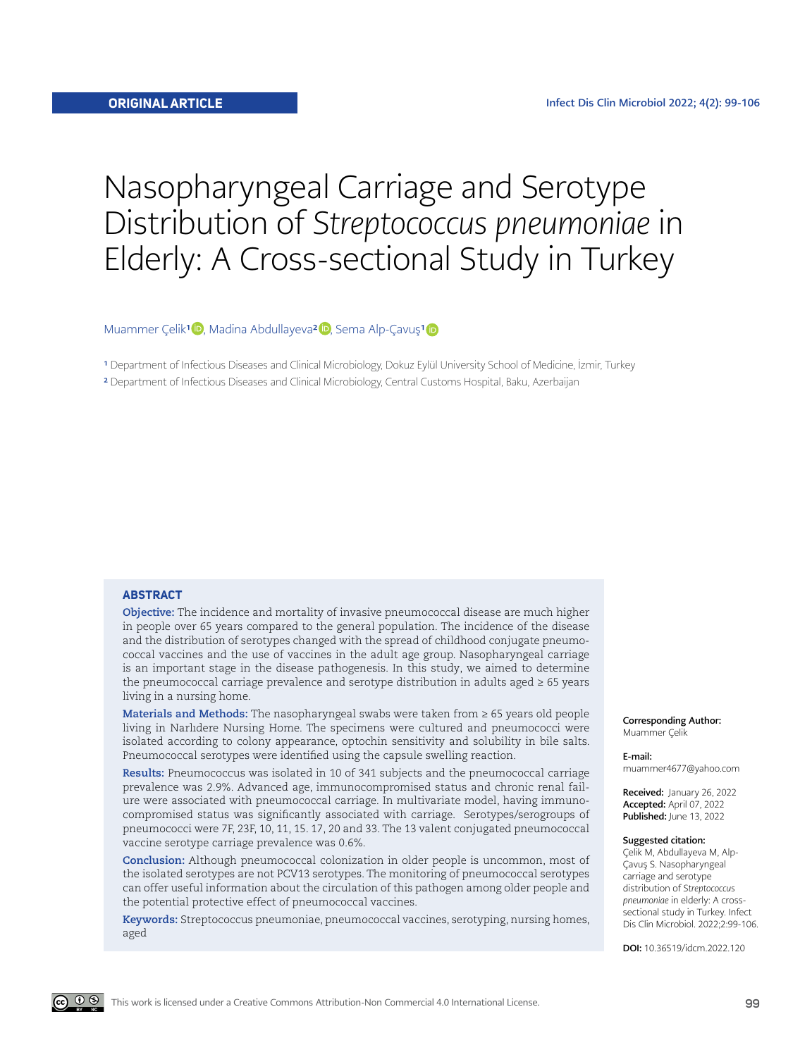# Nasopharyngeal Carriage and Serotype Distribution of *Streptococcus pneumoniae* in Elderly: A Cross-sectional Study in Turkey

## Muammer Çelik<sup>[1]( https://orcid.org/0000-0003-2807-8769)</sup> D, Madina Abdullayeva<sup>2</sup> D, Sema Alp-Çavuş<sup>1</sup> D

<sup>1</sup> Department of Infectious Diseases and Clinical Microbiology, Dokuz Eylül University School of Medicine, İzmir, Turkey

2 Department of Infectious Diseases and Clinical Microbiology, Central Customs Hospital, Baku, Azerbaijan

#### **ABSTRACT**

**Objective:** The incidence and mortality of invasive pneumococcal disease are much higher in people over 65 years compared to the general population. The incidence of the disease and the distribution of serotypes changed with the spread of childhood conjugate pneumococcal vaccines and the use of vaccines in the adult age group. Nasopharyngeal carriage is an important stage in the disease pathogenesis. In this study, we aimed to determine the pneumococcal carriage prevalence and serotype distribution in adults aged  $\geq 65$  years living in a nursing home.

**Materials and Methods:** The nasopharyngeal swabs were taken from ≥ 65 years old people living in Narlıdere Nursing Home. The specimens were cultured and pneumococci were isolated according to colony appearance, optochin sensitivity and solubility in bile salts. Pneumococcal serotypes were identified using the capsule swelling reaction.

**Results:** Pneumococcus was isolated in 10 of 341 subjects and the pneumococcal carriage prevalence was 2.9%. Advanced age, immunocompromised status and chronic renal failure were associated with pneumococcal carriage. In multivariate model, having immunocompromised status was significantly associated with carriage. Serotypes/serogroups of pneumococci were 7F, 23F, 10, 11, 15. 17, 20 and 33. The 13 valent conjugated pneumococcal vaccine serotype carriage prevalence was 0.6%.

**Conclusion:** Although pneumococcal colonization in older people is uncommon, most of the isolated serotypes are not PCV13 serotypes. The monitoring of pneumococcal serotypes can offer useful information about the circulation of this pathogen among older people and the potential protective effect of pneumococcal vaccines.

**Keywords:** Streptococcus pneumoniae, pneumococcal vaccines, serotyping, nursing homes, aged

Corresponding Author: Muammer Çelik

#### E-mail:

muammer4677@yahoo.com

Received: January 26, 2022 Accepted: April 07, 2022 Published: June 13, 2022

#### Suggested citation:

Çelik M, Abdullayeva M, Alp-Çavuş S. Nasopharyngeal carriage and serotype distribution of *Streptococcus pneumoniae* in elderly: A crosssectional study in Turkey. Infect Dis Clin Microbiol. 2022;2:99-106.

DOI: 10.36519/idcm.2022.120

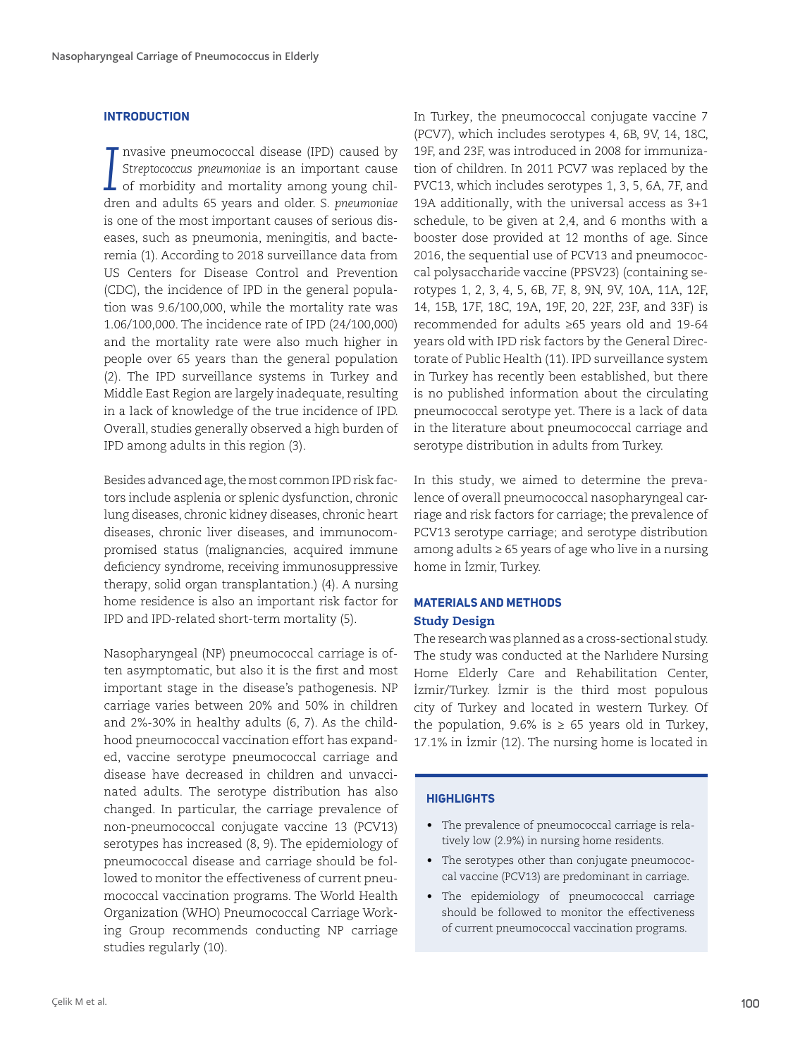# **INTRODUCTION**

*I* nvasive pneumococcal disease (IPD) caused by *Streptococcus pneumoniae* is an important cause of morbidity and mortality among young children and adults 65 years and older. *S. pneumoniae* is one of the most important causes of serious diseases, such as pneumonia, meningitis, and bacteremia (1). According to 2018 surveillance data from US Centers for Disease Control and Prevention (CDC), the incidence of IPD in the general population was 9.6/100,000, while the mortality rate was 1.06/100,000. The incidence rate of IPD (24/100,000) and the mortality rate were also much higher in people over 65 years than the general population (2). The IPD surveillance systems in Turkey and Middle East Region are largely inadequate, resulting in a lack of knowledge of the true incidence of IPD. Overall, studies generally observed a high burden of IPD among adults in this region (3).

Besides advanced age, the most common IPD risk factors include asplenia or splenic dysfunction, chronic lung diseases, chronic kidney diseases, chronic heart diseases, chronic liver diseases, and immunocompromised status (malignancies, acquired immune deficiency syndrome, receiving immunosuppressive therapy, solid organ transplantation.) (4). A nursing home residence is also an important risk factor for IPD and IPD-related short-term mortality (5).

Nasopharyngeal (NP) pneumococcal carriage is often asymptomatic, but also it is the first and most important stage in the disease's pathogenesis. NP carriage varies between 20% and 50% in children and 2%-30% in healthy adults (6, 7). As the childhood pneumococcal vaccination effort has expanded, vaccine serotype pneumococcal carriage and disease have decreased in children and unvaccinated adults. The serotype distribution has also changed. In particular, the carriage prevalence of non-pneumococcal conjugate vaccine 13 (PCV13) serotypes has increased (8, 9). The epidemiology of pneumococcal disease and carriage should be followed to monitor the effectiveness of current pneumococcal vaccination programs. The World Health Organization (WHO) Pneumococcal Carriage Working Group recommends conducting NP carriage studies regularly (10).

In Turkey, the pneumococcal conjugate vaccine 7 (PCV7), which includes serotypes 4, 6B, 9V, 14, 18C, 19F, and 23F, was introduced in 2008 for immunization of children. In 2011 PCV7 was replaced by the PVC13, which includes serotypes 1, 3, 5, 6A, 7F, and 19A additionally, with the universal access as 3+1 schedule, to be given at 2,4, and 6 months with a booster dose provided at 12 months of age. Since 2016, the sequential use of PCV13 and pneumococcal polysaccharide vaccine (PPSV23) (containing serotypes 1, 2, 3, 4, 5, 6B, 7F, 8, 9N, 9V, 10A, 11A, 12F, 14, 15B, 17F, 18C, 19A, 19F, 20, 22F, 23F, and 33F) is recommended for adults ≥65 years old and 19-64 years old with IPD risk factors by the General Directorate of Public Health (11). IPD surveillance system in Turkey has recently been established, but there is no published information about the circulating pneumococcal serotype yet. There is a lack of data in the literature about pneumococcal carriage and serotype distribution in adults from Turkey.

In this study, we aimed to determine the prevalence of overall pneumococcal nasopharyngeal carriage and risk factors for carriage; the prevalence of PCV13 serotype carriage; and serotype distribution among adults ≥ 65 years of age who live in a nursing home in İzmir, Turkey.

# **MATERIALS AND METHODS**

# Study Design

The research was planned as a cross-sectional study. The study was conducted at the Narlıdere Nursing Home Elderly Care and Rehabilitation Center, İzmir/Turkey. İzmir is the third most populous city of Turkey and located in western Turkey. Of the population, 9.6% is  $\geq$  65 years old in Turkey, 17.1% in İzmir (12). The nursing home is located in

# **HIGHLIGHTS**

- The prevalence of pneumococcal carriage is relatively low (2.9%) in nursing home residents.
- The serotypes other than conjugate pneumococcal vaccine (PCV13) are predominant in carriage.
- The epidemiology of pneumococcal carriage should be followed to monitor the effectiveness of current pneumococcal vaccination programs.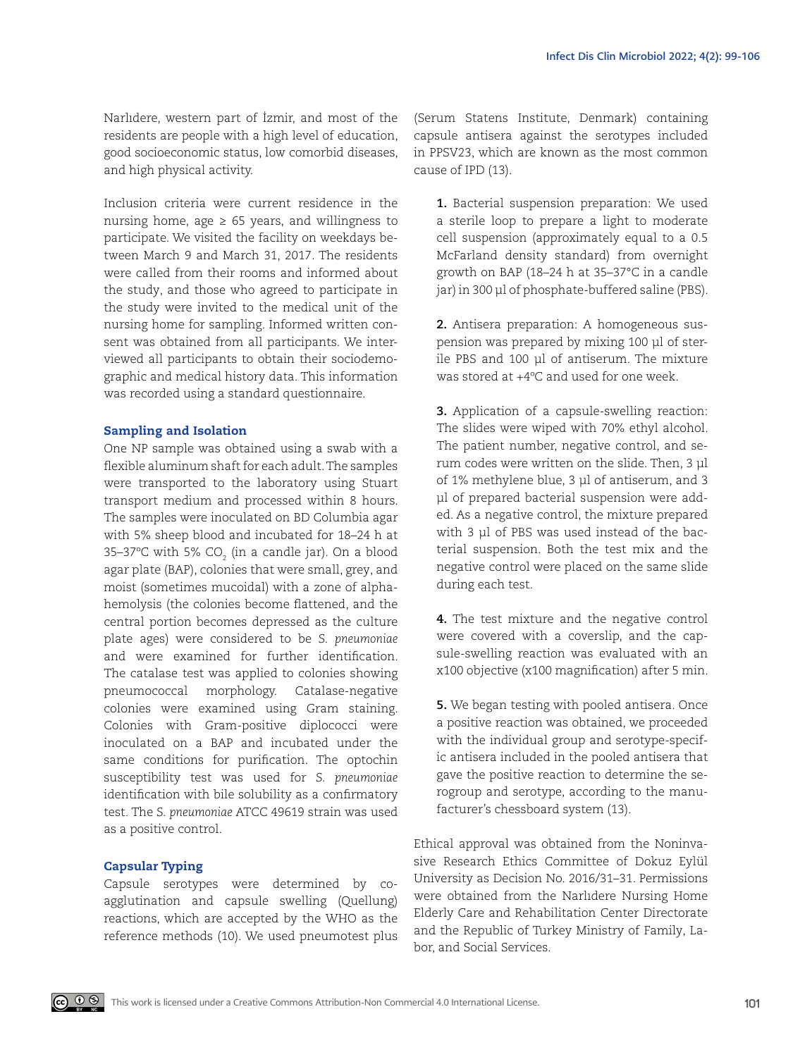Narlıdere, western part of İzmir, and most of the residents are people with a high level of education, good socioeconomic status, low comorbid diseases, and high physical activity.

Inclusion criteria were current residence in the nursing home, age  $\geq 65$  years, and willingness to participate. We visited the facility on weekdays between March 9 and March 31, 2017. The residents were called from their rooms and informed about the study, and those who agreed to participate in the study were invited to the medical unit of the nursing home for sampling. Informed written consent was obtained from all participants. We interviewed all participants to obtain their sociodemographic and medical history data. This information was recorded using a standard questionnaire.

#### Sampling and Isolation

One NP sample was obtained using a swab with a flexible aluminum shaft for each adult. The samples were transported to the laboratory using Stuart transport medium and processed within 8 hours. The samples were inoculated on BD Columbia agar with 5% sheep blood and incubated for 18–24 h at 35–37°C with 5% CO $_{\textrm{\tiny{2}}}$  (in a candle jar). On a blood agar plate (BAP), colonies that were small, grey, and moist (sometimes mucoidal) with a zone of alphahemolysis (the colonies become flattened, and the central portion becomes depressed as the culture plate ages) were considered to be *S. pneumoniae* and were examined for further identification. The catalase test was applied to colonies showing pneumococcal morphology. Catalase-negative colonies were examined using Gram staining. Colonies with Gram-positive diplococci were inoculated on a BAP and incubated under the same conditions for purification. The optochin susceptibility test was used for *S. pneumoniae* identification with bile solubility as a confirmatory test. The *S. pneumoniae* ATCC 49619 strain was used as a positive control.

# Capsular Typing

Capsule serotypes were determined by coagglutination and capsule swelling (Quellung) reactions, which are accepted by the WHO as the reference methods (10). We used pneumotest plus (Serum Statens Institute, Denmark) containing capsule antisera against the serotypes included in PPSV23, which are known as the most common cause of IPD (13).

**1.** Bacterial suspension preparation: We used a sterile loop to prepare a light to moderate cell suspension (approximately equal to a 0.5 McFarland density standard) from overnight growth on BAP (18–24 h at 35–37°C in a candle jar) in 300 µl of phosphate-buffered saline (PBS).

**2.** Antisera preparation: A homogeneous suspension was prepared by mixing 100 μl of sterile PBS and 100 μl of antiserum. The mixture was stored at +4ºC and used for one week.

**3.** Application of a capsule-swelling reaction: The slides were wiped with 70% ethyl alcohol. The patient number, negative control, and serum codes were written on the slide. Then, 3 μl of 1% methylene blue, 3 μl of antiserum, and 3 μl of prepared bacterial suspension were added. As a negative control, the mixture prepared with 3 μl of PBS was used instead of the bacterial suspension. Both the test mix and the negative control were placed on the same slide during each test.

**4.** The test mixture and the negative control were covered with a coverslip, and the capsule-swelling reaction was evaluated with an x100 objective (x100 magnification) after 5 min.

**5.** We began testing with pooled antisera. Once a positive reaction was obtained, we proceeded with the individual group and serotype-specific antisera included in the pooled antisera that gave the positive reaction to determine the serogroup and serotype, according to the manufacturer's chessboard system (13).

Ethical approval was obtained from the Noninvasive Research Ethics Committee of Dokuz Eylül University as Decision No. 2016/31–31. Permissions were obtained from the Narlıdere Nursing Home Elderly Care and Rehabilitation Center Directorate and the Republic of Turkey Ministry of Family, Labor, and Social Services.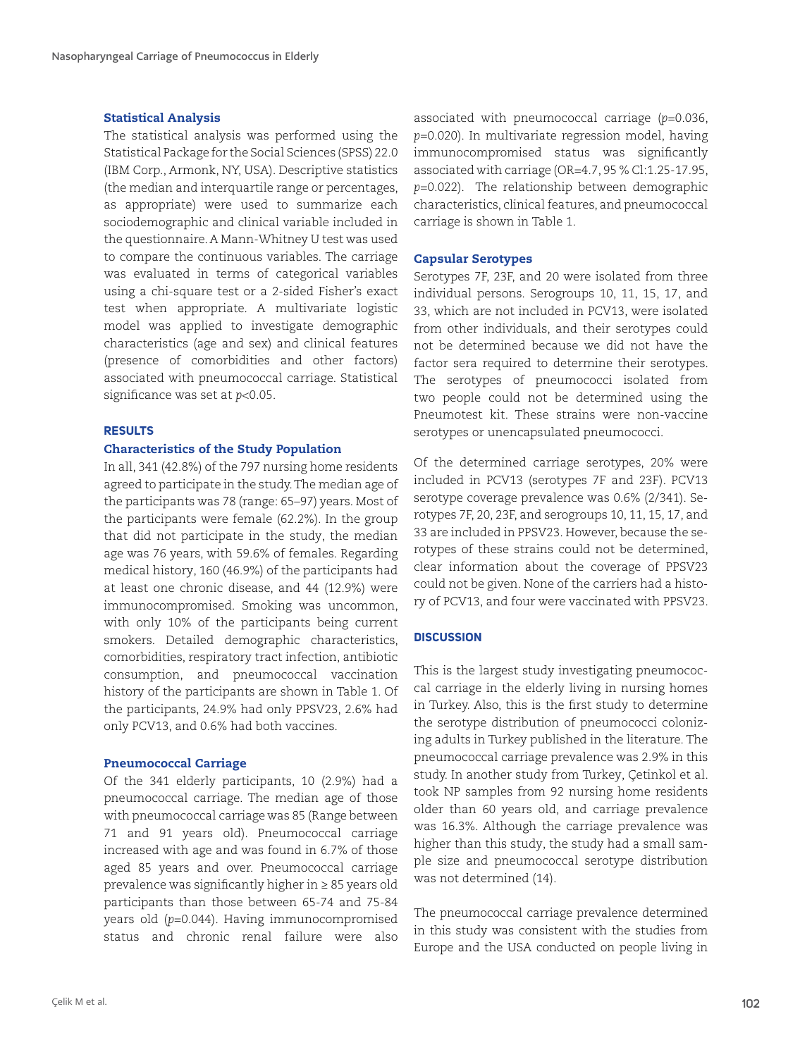# Statistical Analysis

The statistical analysis was performed using the Statistical Package for the Social Sciences (SPSS) 22.0 (IBM Corp., Armonk, NY, USA). Descriptive statistics (the median and interquartile range or percentages, as appropriate) were used to summarize each sociodemographic and clinical variable included in the questionnaire. A Mann-Whitney U test was used to compare the continuous variables. The carriage was evaluated in terms of categorical variables using a chi-square test or a 2-sided Fisher's exact test when appropriate. A multivariate logistic model was applied to investigate demographic characteristics (age and sex) and clinical features (presence of comorbidities and other factors) associated with pneumococcal carriage. Statistical significance was set at *p*<0.05.

#### **RESULTS**

#### Characteristics of the Study Population

In all, 341 (42.8%) of the 797 nursing home residents agreed to participate in the study. The median age of the participants was 78 (range: 65–97) years. Most of the participants were female (62.2%). In the group that did not participate in the study, the median age was 76 years, with 59.6% of females. Regarding medical history, 160 (46.9%) of the participants had at least one chronic disease, and 44 (12.9%) were immunocompromised. Smoking was uncommon, with only 10% of the participants being current smokers. Detailed demographic characteristics, comorbidities, respiratory tract infection, antibiotic consumption, and pneumococcal vaccination history of the participants are shown in Table 1. Of the participants, 24.9% had only PPSV23, 2.6% had only PCV13, and 0.6% had both vaccines.

# Pneumococcal Carriage

Of the 341 elderly participants, 10 (2.9%) had a pneumococcal carriage. The median age of those with pneumococcal carriage was 85 (Range between 71 and 91 years old). Pneumococcal carriage increased with age and was found in 6.7% of those aged 85 years and over. Pneumococcal carriage prevalence was significantly higher in ≥ 85 years old participants than those between 65-74 and 75-84 years old (*p*=0.044). Having immunocompromised status and chronic renal failure were also associated with pneumococcal carriage (*p*=0.036, *p*=0.020). In multivariate regression model, having immunocompromised status was significantly associated with carriage (OR=4.7, 95 % Cl:1.25-17.95, *p*=0.022). The relationship between demographic characteristics, clinical features, and pneumococcal carriage is shown in Table 1.

# Capsular Serotypes

Serotypes 7F, 23F, and 20 were isolated from three individual persons. Serogroups 10, 11, 15, 17, and 33, which are not included in PCV13, were isolated from other individuals, and their serotypes could not be determined because we did not have the factor sera required to determine their serotypes. The serotypes of pneumococci isolated from two people could not be determined using the Pneumotest kit. These strains were non-vaccine serotypes or unencapsulated pneumococci.

Of the determined carriage serotypes, 20% were included in PCV13 (serotypes 7F and 23F). PCV13 serotype coverage prevalence was 0.6% (2/341). Serotypes 7F, 20, 23F, and serogroups 10, 11, 15, 17, and 33 are included in PPSV23. However, because the serotypes of these strains could not be determined, clear information about the coverage of PPSV23 could not be given. None of the carriers had a history of PCV13, and four were vaccinated with PPSV23.

#### **DISCUSSION**

This is the largest study investigating pneumococcal carriage in the elderly living in nursing homes in Turkey. Also, this is the first study to determine the serotype distribution of pneumococci colonizing adults in Turkey published in the literature. The pneumococcal carriage prevalence was 2.9% in this study. In another study from Turkey, Çetinkol et al. took NP samples from 92 nursing home residents older than 60 years old, and carriage prevalence was 16.3%. Although the carriage prevalence was higher than this study, the study had a small sample size and pneumococcal serotype distribution was not determined (14).

The pneumococcal carriage prevalence determined in this study was consistent with the studies from Europe and the USA conducted on people living in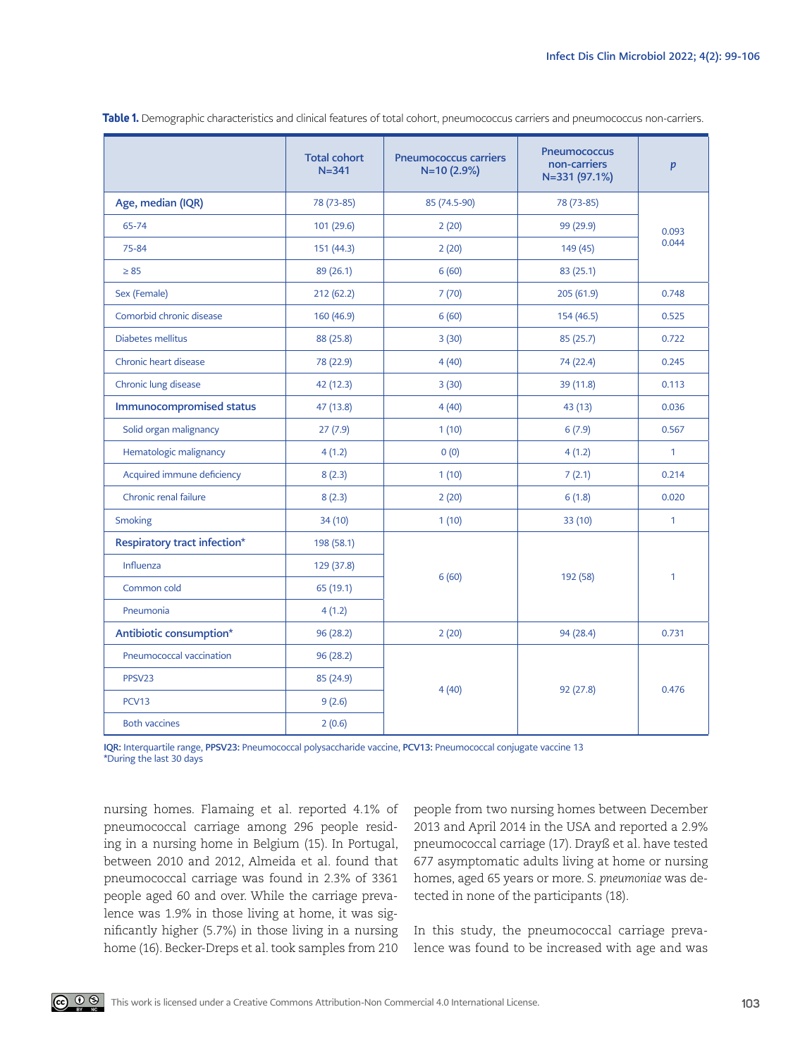|                              | <b>Total cohort</b><br>$N = 341$ | <b>Pneumococcus carriers</b><br>N=10 (2.9%) | <b>Pneumococcus</b><br>non-carriers<br>N=331 (97.1%) | $\boldsymbol{p}$ |
|------------------------------|----------------------------------|---------------------------------------------|------------------------------------------------------|------------------|
| Age, median (IQR)            | 78 (73-85)                       | 85 (74.5-90)                                | 78 (73-85)                                           | 0.093<br>0.044   |
| 65-74                        | 101 (29.6)                       | 2(20)                                       | 99 (29.9)                                            |                  |
| 75-84                        | 151 (44.3)                       | 2(20)                                       | 149 (45)                                             |                  |
| $\geq 85$                    | 89 (26.1)                        | 6(60)                                       | 83(25.1)                                             |                  |
| Sex (Female)                 | 212(62.2)                        | 7(70)                                       | 205 (61.9)                                           | 0.748            |
| Comorbid chronic disease     | 160 (46.9)                       | 6(60)                                       | 154 (46.5)                                           | 0.525            |
| Diabetes mellitus            | 88 (25.8)                        | 3(30)                                       | 85(25.7)                                             | 0.722            |
| Chronic heart disease        | 78 (22.9)                        | 4(40)                                       | 74 (22.4)                                            | 0.245            |
| Chronic lung disease         | 42 (12.3)                        | 3(30)                                       | 39 (11.8)                                            | 0.113            |
| Immunocompromised status     | 47 (13.8)                        | 4(40)                                       | 43 (13)                                              | 0.036            |
| Solid organ malignancy       | 27(7.9)                          | 1(10)                                       | 6(7.9)                                               | 0.567            |
| Hematologic malignancy       | 4(1.2)                           | 0(0)                                        | 4(1.2)                                               | $\mathbf{1}$     |
| Acquired immune deficiency   | 8(2.3)                           | 1(10)                                       | 7(2.1)                                               | 0.214            |
| Chronic renal failure        | 8(2.3)                           | 2(20)                                       | 6(1.8)                                               | 0.020            |
| Smoking                      | 34(10)                           | 1(10)                                       | 33 (10)                                              | 1                |
| Respiratory tract infection* | 198 (58.1)                       | 6(60)                                       | 192 (58)                                             | $\mathbf{1}$     |
| <b>Influenza</b>             | 129 (37.8)                       |                                             |                                                      |                  |
| Common cold                  | 65 (19.1)                        |                                             |                                                      |                  |
| Pneumonia                    | 4(1.2)                           |                                             |                                                      |                  |
| Antibiotic consumption*      | 96 (28.2)                        | 2(20)                                       | 94 (28.4)                                            | 0.731            |
| Pneumococcal vaccination     | 96 (28.2)                        | 4(40)                                       | 92 (27.8)                                            | 0.476            |
| PPSV23                       | 85 (24.9)                        |                                             |                                                      |                  |
| PCV13                        | 9(2.6)                           |                                             |                                                      |                  |
| <b>Both vaccines</b>         | 2(0.6)                           |                                             |                                                      |                  |

**Table 1.** Demographic characteristics and clinical features of total cohort, pneumococcus carriers and pneumococcus non-carriers.

IQR: Interquartile range, PPSV23: Pneumococcal polysaccharide vaccine, PCV13: Pneumococcal conjugate vaccine 13 \*During the last 30 days

nursing homes. Flamaing et al. reported 4.1% of pneumococcal carriage among 296 people residing in a nursing home in Belgium (15). In Portugal, between 2010 and 2012, Almeida et al. found that pneumococcal carriage was found in 2.3% of 3361 people aged 60 and over. While the carriage prevalence was 1.9% in those living at home, it was significantly higher (5.7%) in those living in a nursing home (16). Becker-Dreps et al. took samples from 210 people from two nursing homes between December 2013 and April 2014 in the USA and reported a 2.9% pneumococcal carriage (17). Drayß et al. have tested 677 asymptomatic adults living at home or nursing homes, aged 65 years or more. *S. pneumoniae* was detected in none of the participants (18).

In this study, the pneumococcal carriage prevalence was found to be increased with age and was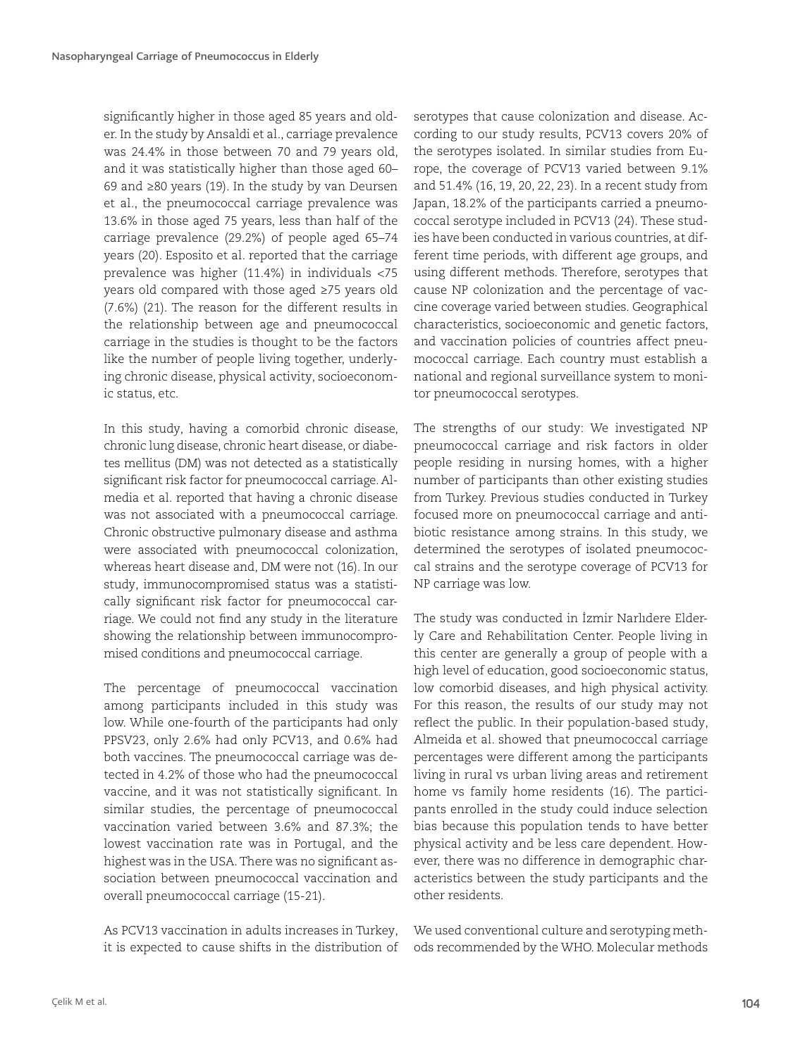significantly higher in those aged 85 years and older. In the study by Ansaldi et al., carriage prevalence was 24.4% in those between 70 and 79 years old, and it was statistically higher than those aged 60– 69 and ≥80 years (19). In the study by van Deursen et al., the pneumococcal carriage prevalence was 13.6% in those aged 75 years, less than half of the carriage prevalence (29.2%) of people aged 65–74 years (20). Esposito et al. reported that the carriage prevalence was higher (11.4%) in individuals <75 years old compared with those aged ≥75 years old (7.6%) (21). The reason for the different results in the relationship between age and pneumococcal carriage in the studies is thought to be the factors like the number of people living together, underlying chronic disease, physical activity, socioeconomic status, etc.

In this study, having a comorbid chronic disease, chronic lung disease, chronic heart disease, or diabetes mellitus (DM) was not detected as a statistically significant risk factor for pneumococcal carriage. Almedia et al. reported that having a chronic disease was not associated with a pneumococcal carriage. Chronic obstructive pulmonary disease and asthma were associated with pneumococcal colonization, whereas heart disease and, DM were not (16). In our study, immunocompromised status was a statistically significant risk factor for pneumococcal carriage. We could not find any study in the literature showing the relationship between immunocompromised conditions and pneumococcal carriage.

The percentage of pneumococcal vaccination among participants included in this study was low. While one-fourth of the participants had only PPSV23, only 2.6% had only PCV13, and 0.6% had both vaccines. The pneumococcal carriage was detected in 4.2% of those who had the pneumococcal vaccine, and it was not statistically significant. In similar studies, the percentage of pneumococcal vaccination varied between 3.6% and 87.3%; the lowest vaccination rate was in Portugal, and the highest was in the USA. There was no significant association between pneumococcal vaccination and overall pneumococcal carriage (15-21).

As PCV13 vaccination in adults increases in Turkey, it is expected to cause shifts in the distribution of

serotypes that cause colonization and disease. According to our study results, PCV13 covers 20% of the serotypes isolated. In similar studies from Europe, the coverage of PCV13 varied between 9.1% and 51.4% (16, 19, 20, 22, 23). In a recent study from Japan, 18.2% of the participants carried a pneumococcal serotype included in PCV13 (24). These studies have been conducted in various countries, at different time periods, with different age groups, and using different methods. Therefore, serotypes that cause NP colonization and the percentage of vaccine coverage varied between studies. Geographical characteristics, socioeconomic and genetic factors, and vaccination policies of countries affect pneumococcal carriage. Each country must establish a national and regional surveillance system to monitor pneumococcal serotypes.

The strengths of our study: We investigated NP pneumococcal carriage and risk factors in older people residing in nursing homes, with a higher number of participants than other existing studies from Turkey. Previous studies conducted in Turkey focused more on pneumococcal carriage and antibiotic resistance among strains. In this study, we determined the serotypes of isolated pneumococcal strains and the serotype coverage of PCV13 for NP carriage was low.

The study was conducted in İzmir Narlıdere Elderly Care and Rehabilitation Center. People living in this center are generally a group of people with a high level of education, good socioeconomic status, low comorbid diseases, and high physical activity. For this reason, the results of our study may not reflect the public. In their population-based study, Almeida et al. showed that pneumococcal carriage percentages were different among the participants living in rural vs urban living areas and retirement home vs family home residents (16). The participants enrolled in the study could induce selection bias because this population tends to have better physical activity and be less care dependent. However, there was no difference in demographic characteristics between the study participants and the other residents.

We used conventional culture and serotyping methods recommended by the WHO. Molecular methods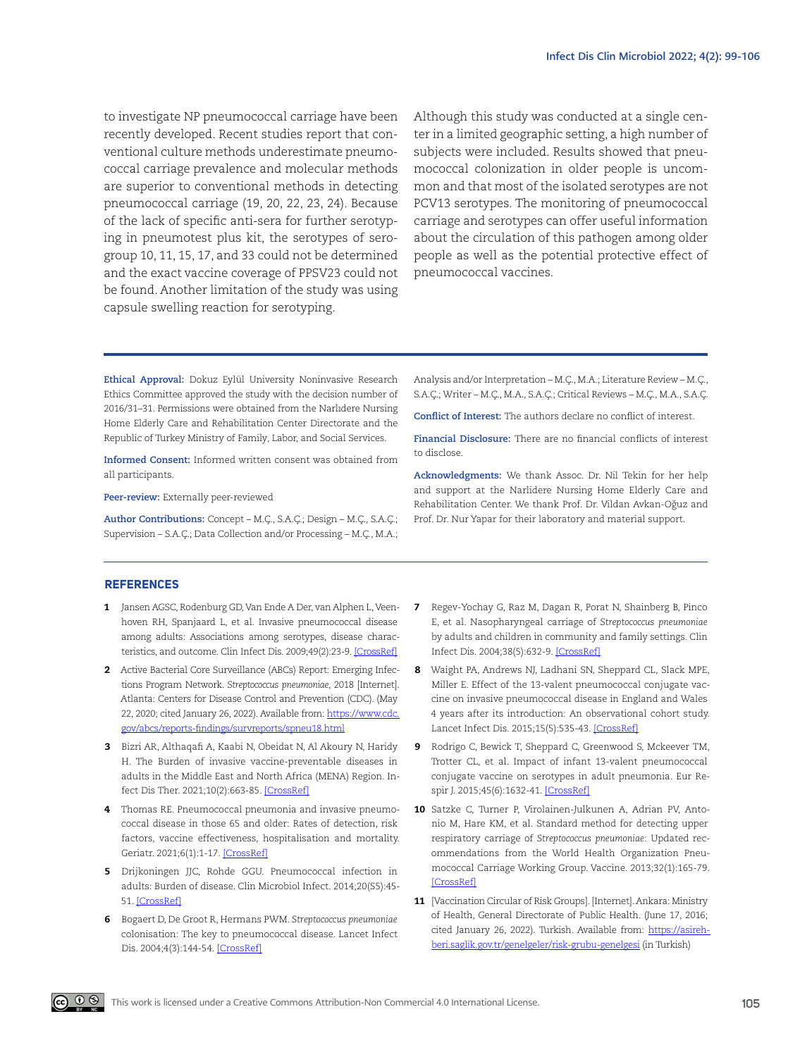to investigate NP pneumococcal carriage have been recently developed. Recent studies report that conventional culture methods underestimate pneumococcal carriage prevalence and molecular methods are superior to conventional methods in detecting pneumococcal carriage (19, 20, 22, 23, 24). Because of the lack of specific anti-sera for further serotyping in pneumotest plus kit, the serotypes of serogroup 10, 11, 15, 17, and 33 could not be determined and the exact vaccine coverage of PPSV23 could not be found. Another limitation of the study was using capsule swelling reaction for serotyping.

Although this study was conducted at a single center in a limited geographic setting, a high number of subjects were included. Results showed that pneumococcal colonization in older people is uncommon and that most of the isolated serotypes are not PCV13 serotypes. The monitoring of pneumococcal carriage and serotypes can offer useful information about the circulation of this pathogen among older people as well as the potential protective effect of pneumococcal vaccines.

**Ethical Approval:** Dokuz Eylül University Noninvasive Research Ethics Committee approved the study with the decision number of 2016/31–31. Permissions were obtained from the Narlıdere Nursing Home Elderly Care and Rehabilitation Center Directorate and the Republic of Turkey Ministry of Family, Labor, and Social Services.

**Informed Consent:** Informed written consent was obtained from all participants.

**Peer-review:** Externally peer-reviewed

**Author Contributions:** Concept – M.Ç., S.A.Ç.; Design – M.Ç., S.A.Ç.; Supervision – S.A.Ç.; Data Collection and/or Processing – M.Ç., M.A.; Analysis and/or Interpretation – M.Ç., M.A.; Literature Review – M.Ç., S.A.Ç.; Writer – M.Ç., M.A., S.A.Ç.; Critical Reviews – M.Ç., M.A., S.A.Ç.

**Conflict of Interest:** The authors declare no conflict of interest.

**Financial Disclosure:** There are no financial conflicts of interest to disclose.

**Acknowledgments:** We thank Assoc. Dr. Nil Tekin for her help and support at the Narlidere Nursing Home Elderly Care and Rehabilitation Center. We thank Prof. Dr. Vildan Avkan-Oğuz and Prof. Dr. Nur Yapar for their laboratory and material support.

#### **REFERENCES**

- 1 Jansen AGSC, Rodenburg GD, Van Ende A Der, van Alphen L, Veenhoven RH, Spanjaard L, et al. Invasive pneumococcal disease among adults: Associations among serotypes, disease charac-teristics, and outcome. Clin Infect Dis. 2009;49(2):23-9. [\[CrossRef](https://doi.org/10.1086/600045)]
- 2 Active Bacterial Core Surveillance (ABCs) Report: Emerging Infections Program Network. *Streptococcus pneumoniae*, 2018 [Internet]. Atlanta: Centers for Disease Control and Prevention (CDC). (May 22, 2020; cited January 26, 2022). Available from: [https://www.cdc.](https://www.cdc.gov/abcs/reports-findings/survreports/spneu18.html) [gov/abcs/reports-findings/survreports/spneu18.html](https://www.cdc.gov/abcs/reports-findings/survreports/spneu18.html)
- 3 Bizri AR, Althaqafi A, Kaabi N, Obeidat N, Al Akoury N, Haridy H. The Burden of invasive vaccine-preventable diseases in adults in the Middle East and North Africa (MENA) Region. In-fect Dis Ther. 2021;10(2):663-85. [[CrossRef\]](https://doi.org/10.1007/s40121-021-00420-y)
- 4 Thomas RE. Pneumococcal pneumonia and invasive pneumococcal disease in those 65 and older: Rates of detection, risk factors, vaccine effectiveness, hospitalisation and mortality. Geriatr. 2021;6(1):1-17. [[CrossRef\]](https://doi.org/10.3390/geriatrics6010013)
- 5 Drijkoningen JJC, Rohde GGU. Pneumococcal infection in adults: Burden of disease. Clin Microbiol Infect. 2014;20(S5):45- 51. [[CrossRef\]](https://doi.org/10.1111/1469-0691.12461)
- 6 Bogaert D, De Groot R, Hermans PWM. *Streptococcus pneumoniae* colonisation: The key to pneumococcal disease. Lancet Infect Dis. 2004;4(3):144-54. [\[CrossRef](https://doi.org/10.1016/S1473-3099(04)00938-7)]
- 7 Regev-Yochay G, Raz M, Dagan R, Porat N, Shainberg B, Pinco E, et al. Nasopharyngeal carriage of *Streptococcus pneumoniae*  by adults and children in community and family settings. Clin Infect Dis. 2004;38(5):632-9. [\[CrossRef\]](https://doi.org/10.1086/381547)
- 8 Waight PA, Andrews NJ, Ladhani SN, Sheppard CL, Slack MPE, Miller E. Effect of the 13-valent pneumococcal conjugate vaccine on invasive pneumococcal disease in England and Wales 4 years after its introduction: An observational cohort study. Lancet Infect Dis. 2015;15(5):535-43. [[CrossRef](https://doi.org/10.1016/S1473-3099(15)70044-7)]
- 9 Rodrigo C, Bewick T, Sheppard C, Greenwood S, Mckeever TM, Trotter CL, et al. Impact of infant 13-valent pneumococcal conjugate vaccine on serotypes in adult pneumonia. Eur Respir J. 2015;45(6):1632-41. [\[CrossRef\]](https://doi.org/10.1183/09031936.00183614)
- 10 Satzke C, Turner P, Virolainen-Julkunen A, Adrian PV, Antonio M, Hare KM, et al. Standard method for detecting upper respiratory carriage of *Streptococcus pneumoniae*: Updated recommendations from the World Health Organization Pneumococcal Carriage Working Group. Vaccine. 2013;32(1):165-79. [\[CrossRef](https://doi.org/10.1016/j.vaccine.2013.08.062)]
- 11 [Vaccination Circular of Risk Groups]. [Internet]. Ankara: Ministry of Health, General Directorate of Public Health. (June 17, 2016; cited January 26, 2022). Turkish. Available from: [https://asireh](https://asirehberi.saglik.gov.tr/genelgeler/risk-grubu-genelgesi)[beri.saglik.gov.tr/genelgeler/risk-grubu-genelgesi](https://asirehberi.saglik.gov.tr/genelgeler/risk-grubu-genelgesi) (in Turkish)